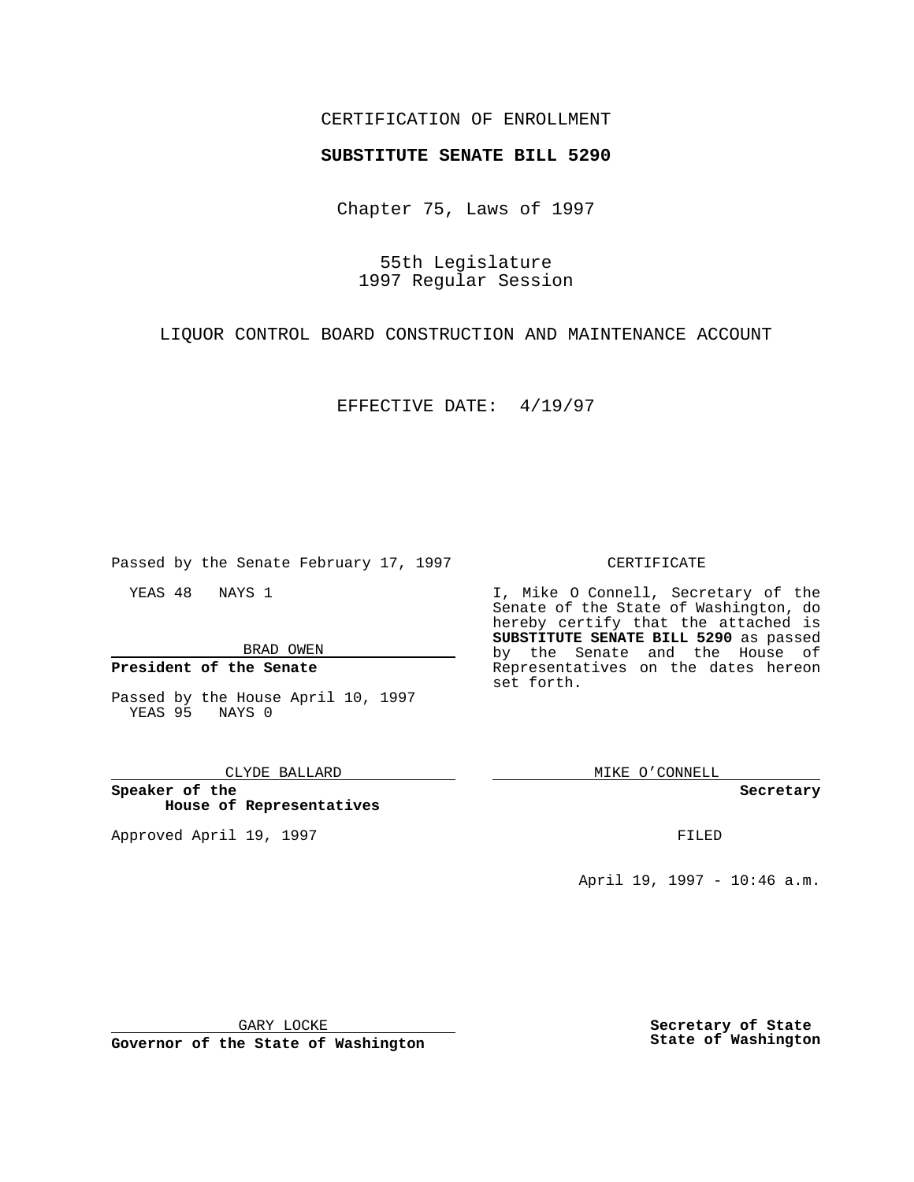## CERTIFICATION OF ENROLLMENT

# **SUBSTITUTE SENATE BILL 5290**

Chapter 75, Laws of 1997

55th Legislature 1997 Regular Session

LIQUOR CONTROL BOARD CONSTRUCTION AND MAINTENANCE ACCOUNT

EFFECTIVE DATE: 4/19/97

Passed by the Senate February 17, 1997

YEAS 48 NAYS 1

BRAD OWEN

**President of the Senate**

Passed by the House April 10, 1997 YEAS 95 NAYS 0

#### CLYDE BALLARD

**Speaker of the House of Representatives**

Approved April 19, 1997 **FILED** 

### CERTIFICATE

I, Mike O Connell, Secretary of the Senate of the State of Washington, do hereby certify that the attached is **SUBSTITUTE SENATE BILL 5290** as passed by the Senate and the House of Representatives on the dates hereon set forth.

MIKE O'CONNELL

#### **Secretary**

April 19, 1997 - 10:46 a.m.

GARY LOCKE

**Governor of the State of Washington**

**Secretary of State State of Washington**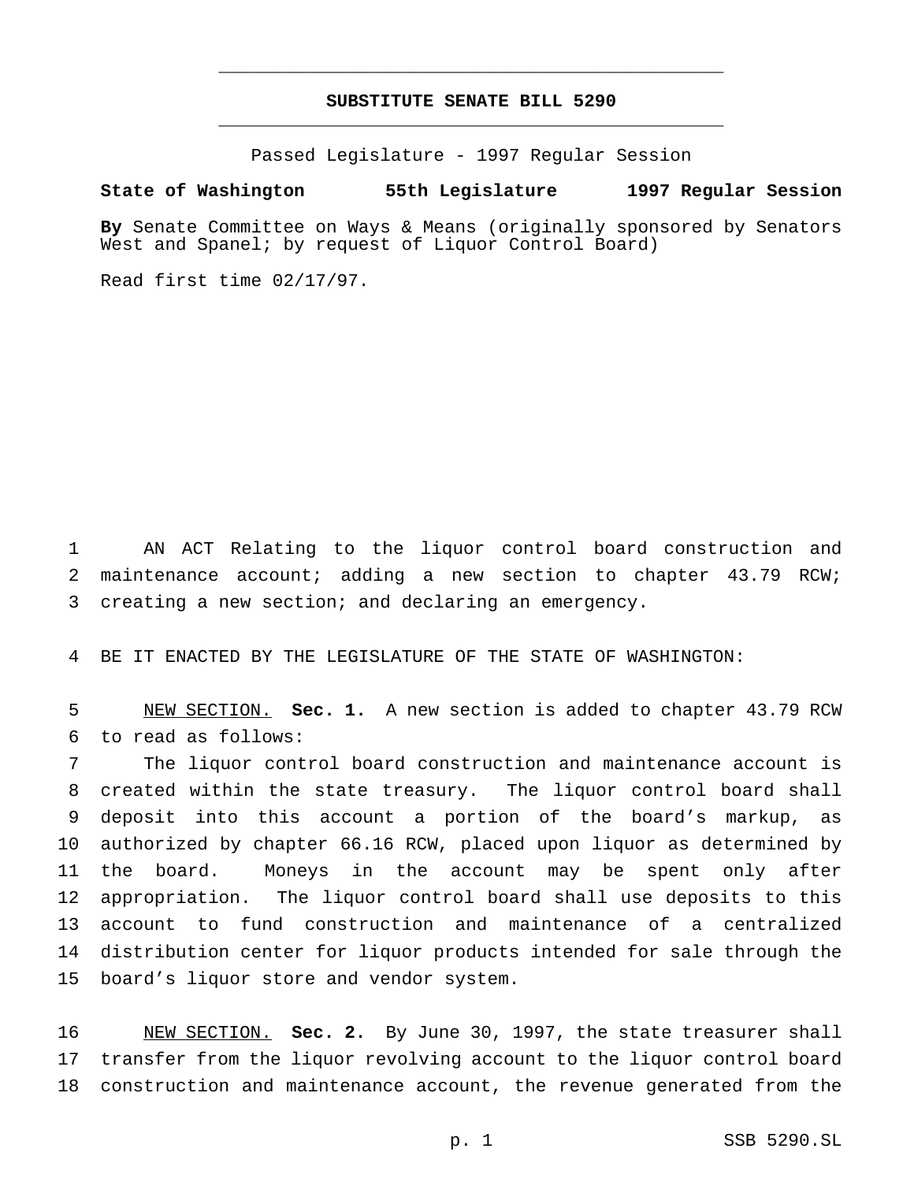# **SUBSTITUTE SENATE BILL 5290** \_\_\_\_\_\_\_\_\_\_\_\_\_\_\_\_\_\_\_\_\_\_\_\_\_\_\_\_\_\_\_\_\_\_\_\_\_\_\_\_\_\_\_\_\_\_\_

\_\_\_\_\_\_\_\_\_\_\_\_\_\_\_\_\_\_\_\_\_\_\_\_\_\_\_\_\_\_\_\_\_\_\_\_\_\_\_\_\_\_\_\_\_\_\_

Passed Legislature - 1997 Regular Session

#### **State of Washington 55th Legislature 1997 Regular Session**

**By** Senate Committee on Ways & Means (originally sponsored by Senators West and Spanel; by request of Liquor Control Board)

Read first time 02/17/97.

 AN ACT Relating to the liquor control board construction and 2 maintenance account; adding a new section to chapter 43.79 RCW; creating a new section; and declaring an emergency.

BE IT ENACTED BY THE LEGISLATURE OF THE STATE OF WASHINGTON:

 NEW SECTION. **Sec. 1.** A new section is added to chapter 43.79 RCW to read as follows:

 The liquor control board construction and maintenance account is created within the state treasury. The liquor control board shall deposit into this account a portion of the board's markup, as authorized by chapter 66.16 RCW, placed upon liquor as determined by the board. Moneys in the account may be spent only after appropriation. The liquor control board shall use deposits to this account to fund construction and maintenance of a centralized distribution center for liquor products intended for sale through the board's liquor store and vendor system.

 NEW SECTION. **Sec. 2.** By June 30, 1997, the state treasurer shall transfer from the liquor revolving account to the liquor control board construction and maintenance account, the revenue generated from the